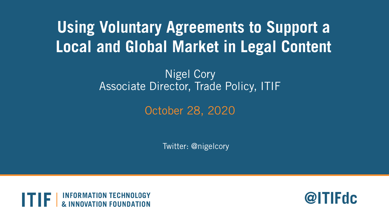# **Using Voluntary Agreements to Support a Local and Global Market in Legal Content**

## Nigel Cory Associate Director, Trade Policy, ITIF

## October 28, 2020

Twitter: @nigelcory



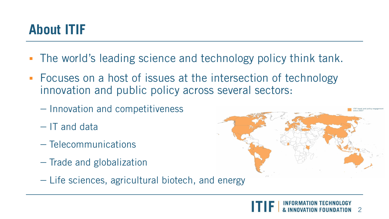# **About ITIF**

- The world's leading science and technology policy think tank.
- Focuses on a host of issues at the intersection of technology innovation and public policy across several sectors:
	- Innovation and competitiveness
	- IT and data
	- Telecommunications
	- Trade and globalization
	- Life sciences, agricultural biotech, and energy



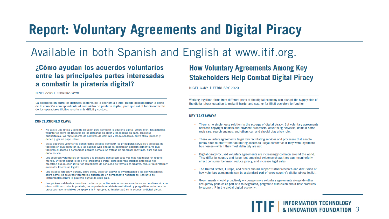## **Report: Voluntary Agreements and Digital Piracy**

## Available in both Spanish and English at www.itif.org.

### ¿Cómo ayudan los acuerdos voluntarios entre las principales partes interesadas a combatir la piratería digital?

#### NIGEL CORY | FEBRERO 2020

La colaboración entre los distintos sectores de la economía digital puede desestabilizar la parte de la ecuación correspondiente al suministro de piratería digital, para que así el funcionamiento de los operadores ilícitos resulte más difícil y costoso.

#### **CONCLUSIONES CLAVE**

- \* No existe una única y sencilla solución para combatir la piratería digital. Ahora bien, los acuerdos voluntarios entre los titulares de los derechos de autor y los medios de pago, las redes publicitarias, los registradores de nombres de dominio y los buscadores, entre otros, pueden y deben jugar un papel clave.
- " Estos acuerdos voluntarios tienen como objetivo combatir los principales servicios y procesos de facilitación que permiten que las páginas web piratas se beneficien económicamente, ya que facilitan el acceso a contenidos ilegales como si se tratase de empresas legítimas, algo que sin duda no son.
- Los acuerdos voluntarios enfocados a la piratería digital son cada vez más habituales en todo el mundo. Difieren según el país y el problema a tratar, pero distintas pruebas empíricas nos muestran que pueden influir en los hábitos de consumo de forma significativa, reducir la piratería y aumentar las ventas legales.
- \* Los Estados Unidos y Europa, entre otros, deberían apovar la investigación y las conversaciones sobre cómo los acuerdos voluntarios pueden ser un componente habitual del conjunto de instrumentos contra la piratería digital de cada país.
- \* Los gobiernos deberían incentivar de forma proactiva más acuerdos voluntarios en combinación con otras políticas contra la piratería, como parte de un debate revitalizado y pragmático en torno a las prácticas recomendables de apoyo a la PI (propiedad intelectual) en la economía digital global.

### **How Voluntary Agreements Among Key Stakeholders Help Combat Digital Piracy**

NIGEL CORY | FEBRUARY 2020

Working together, firms from different parts of the digital economy can disrupt the supply side of the digital piracy equation to make it harder and costlier for illicit operators to function.

#### **KEY TAKEAWAYS**

- There is no single, easy solution to the scourge of digital piracy. But voluntary agreements between copyright holders and payment processors, advertising networks, domain name registrars, search engines, and others can and should play a key role.
- These voluntary agreements target key facilitating services and processes that enable piracy sites to profit from facilitating access to illegal content as if they were legitimate businesses—which they most definitely are not.
- Digital-piracy-focused voluntary agreements are increasingly common around the world. They differ by country and issue, but empirical evidence shows they can meaningfully effect consumer behavior, reduce piracy, and increase legal sales.
- . The United States, Europe, and others should support further research and discussion of how voluntary agreements can be a standard part of every country's digital piracy toolkit.
- Governments should proactively encourage more voluntary agreements alongside other anti-piracy policies as part of a reinvigorated, pragmatic discussion about best practices to support IP in the global digital economy.

**TIF EXECUTED EXECUTED EXECUTED EXECUTED EDUAL**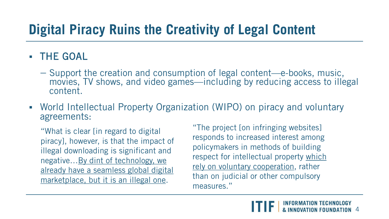# **Digital Piracy Ruins the Creativity of Legal Content**

## THE GOAL

- Support the creation and consumption of legal content—e-books, music, movies, TV shows, and video games—including by reducing access to illegal content.
- World Intellectual Property Organization (WIPO) on piracy and voluntary agreements:

"What is clear [in regard to digital piracy], however, is that the impact of illegal downloading is significant and negative…By dint of technology, we already have a seamless global digital marketplace, but it is an illegal one.

"The project [on infringing websites] responds to increased interest among policymakers in methods of building respect for intellectual property which rely on voluntary cooperation, rather than on judicial or other compulsory measures."

**INNOVATION FOUNDATION 4**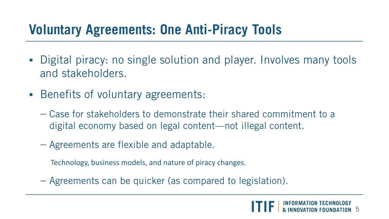## **Voluntary Agreements: One Anti-Piracy Tools**

- Digital piracy: no single solution and player. Involves many tools and stakeholders.
- Benefits of voluntary agreements:
	- Case for stakeholders to demonstrate their shared commitment to a digital economy based on legal content—not illegal content.
	- Agreements are flexible and adaptable.

Technology, business models, and nature of piracy changes.

– Agreements can be quicker (as compared to legislation).

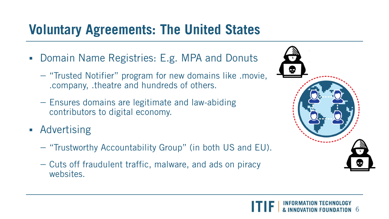## **Voluntary Agreements: The United States**

- Domain Name Registries: E.g. MPA and Donuts
	- "Trusted Notifier" program for new domains like .movie, .company, .theatre and hundreds of others.
	- Ensures domains are legitimate and law-abiding contributors to digital economy.
- **Advertising** 
	- "Trustworthy Accountability Group" (in both US and EU).
	- Cuts off fraudulent traffic, malware, and ads on piracy websites.



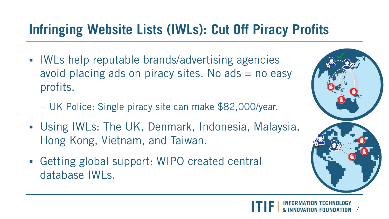## **Infringing Website Lists (IWLs): Cut Off Piracy Profits**

- **IWLs help reputable brands/advertising agencies** avoid placing ads on piracy sites. No  $ads = no$  easy profits.
	- UK Police: Single piracy site can make \$82,000/year.
- Using IWLs: The UK, Denmark, Indonesia, Malaysia, Hong Kong, Vietnam, and Taiwan.
- Getting global support: WIPO created central database IWLs.



7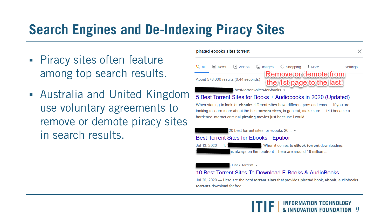## **Search Engines and De-Indexing Piracy Sites**

- **Piracy sites often feature** among top search results.
- Australia and United Kingdom use voluntary agreements to remove or demote piracy sites in search results.

#### pirated ebooks sites torrent  $\times$  $Q$  All  $\mathbf{E}$  News  $\Box$  Videos  $\Box$  Images  $\oslash$  Shopping  $:$  More Settings Remove or demote from About 578,000 results (0.44 seconds) the 1st page to the last! best-torrent-sites-for-books 5 Best Torrent Sites for Books + Audiobooks in 2020 (Updated) When starting to look for ebooks different sites have different pros and cons. ... If you are

looking to learn more about the best torrent sites, in general, make sure ... 14 I became a hardened internet criminal pirating movies just because I could.

20-best-torrent-sites-for-ebooks-20... ▼

#### **Best Torrent Sites for Ebooks - Epubor**

When it comes to eBook torrent downloading, is always on the forefront. There are around 16 million ...

List > Torrent +

Jul 13, 2020 - 1

### 10 Best Torrent Sites To Download E-Books & AudioBooks ...

Jul 26, 2020 - Here are the best torrent sites that provides pirated book, ebook, audiobooks torrents download for free.

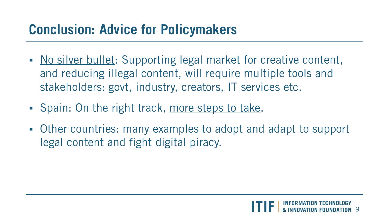## **Conclusion: Advice for Policymakers**

- No silver bullet: Supporting legal market for creative content, and reducing illegal content, will require multiple tools and stakeholders: govt, industry, creators, IT services etc.
- Spain: On the right track, more steps to take.
- Other countries: many examples to adopt and adapt to support legal content and fight digital piracy.